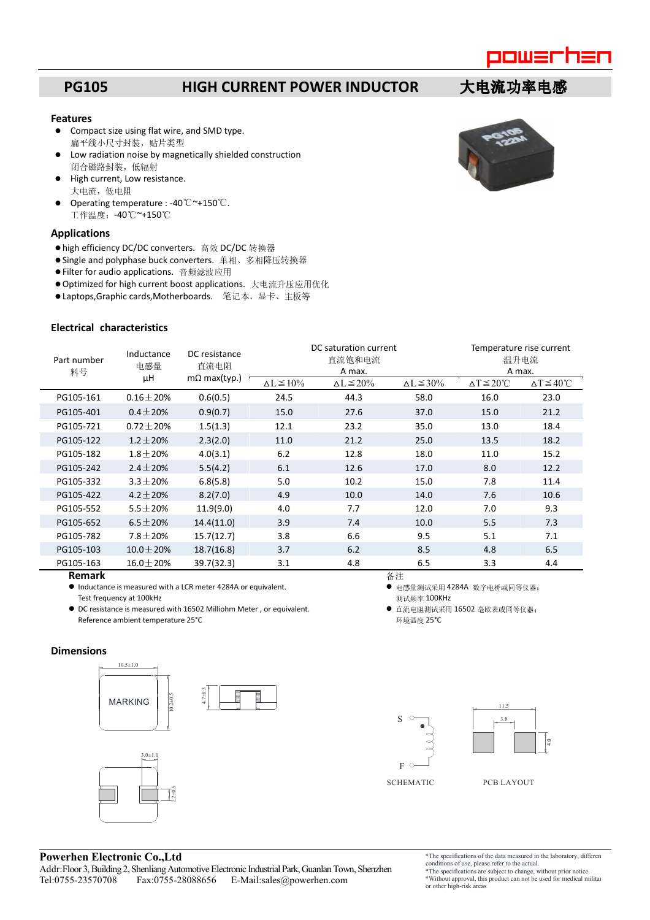

# **PG105 HIGH CURRENT POWER INDUCTOR 大电流功率电感**

#### **Features**

- Compact size using flat wire, and SMD type. 扁平线小尺寸封装,贴片类型
- Low radiation noise by magnetically shielded construction 闭合磁路封装,低辐射
- High current, Low resistance. 大电流,低电阻
- Operating temperature : -40℃~+150℃. 工作温度:-40℃~+150℃

## **Applications**

- high efficiency DC/DC converters. 高效 DC/DC 转换器
- Single and polyphase buck converters. 单相、多相降压转换器
- Filter for audio applications. 音频滤波应用
- Optimized for high current boost applications. 大电流升压应用优化
- Laptops,Graphic cards,Motherboards. 笔记本、显卡、主板等

### **Electrical characteristics**

| Part number<br>料号 | Inductance<br>电感量<br>μH | DC resistance<br>直流电阻<br>$m\Omega$ max(typ.) | DC saturation current<br>直流饱和电流<br>A max. |                     |                      | Temperature rise current<br>温升电流<br>A max. |                              |
|-------------------|-------------------------|----------------------------------------------|-------------------------------------------|---------------------|----------------------|--------------------------------------------|------------------------------|
|                   |                         |                                              | $\Delta L \le 10\%$                       | $\Delta L \le 20\%$ | $\Delta L \leq 30\%$ | $\Delta T \leq 20^{\circ}$ C               | $\Delta T \leq 40^{\circ}$ C |
| PG105-161         | $0.16 \pm 20%$          | 0.6(0.5)                                     | 24.5                                      | 44.3                | 58.0                 | 16.0                                       | 23.0                         |
| PG105-401         | $0.4 \pm 20%$           | 0.9(0.7)                                     | 15.0                                      | 27.6                | 37.0                 | 15.0                                       | 21.2                         |
| PG105-721         | $0.72 \pm 20%$          | 1.5(1.3)                                     | 12.1                                      | 23.2                | 35.0                 | 13.0                                       | 18.4                         |
| PG105-122         | $1.2 \pm 20\%$          | 2.3(2.0)                                     | 11.0                                      | 21.2                | 25.0                 | 13.5                                       | 18.2                         |
| PG105-182         | $1.8 \pm 20\%$          | 4.0(3.1)                                     | 6.2                                       | 12.8                | 18.0                 | 11.0                                       | 15.2                         |
| PG105-242         | $2.4 \pm 20%$           | 5.5(4.2)                                     | 6.1                                       | 12.6                | 17.0                 | 8.0                                        | 12.2                         |
| PG105-332         | $3.3 \pm 20%$           | 6.8(5.8)                                     | 5.0                                       | 10.2                | 15.0                 | 7.8                                        | 11.4                         |
| PG105-422         | 4.2 $\pm$ 20%           | 8.2(7.0)                                     | 4.9                                       | 10.0                | 14.0                 | 7.6                                        | 10.6                         |
| PG105-552         | $5.5 \pm 20%$           | 11.9(9.0)                                    | 4.0                                       | 7.7                 | 12.0                 | 7.0                                        | 9.3                          |
| PG105-652         | $6.5 \pm 20%$           | 14.4(11.0)                                   | 3.9                                       | 7.4                 | 10.0                 | 5.5                                        | 7.3                          |
| PG105-782         | $7.8 \pm 20\%$          | 15.7(12.7)                                   | 3.8                                       | 6.6                 | 9.5                  | 5.1                                        | 7.1                          |
| PG105-103         | $10.0 \pm 20%$          | 18.7(16.8)                                   | 3.7                                       | 6.2                 | 8.5                  | 4.8                                        | 6.5                          |
| PG105-163         | $16.0 \pm 20\%$         | 39.7(32.3)                                   | 3.1                                       | 4.8                 | 6.5                  | 3.3                                        | 4.4                          |

**Remark**

- Inductance is measured with a LCR meter 4284A or equivalent. Test frequency at 100kHz
- DC resistance is measured with 16502 Milliohm Meter , or equivalent. Reference ambient temperature 25°C
- 备注

● 电感量测试采用 4284A 数字电桥或同等仪器;

测试频率 100KHz

 直流电阻测试采用 16502 毫欧表或同等仪器; 环境温度 25°C

### **Dimensions**







 $\frac{1}{4}$ 

\*The specifications of the data measured in the laboratory, different conditions of use, please refer to the actual. \*The specifications are subject to change, without prior notice.

\*Without approval, this product can not be used for medical military or other high-risk areas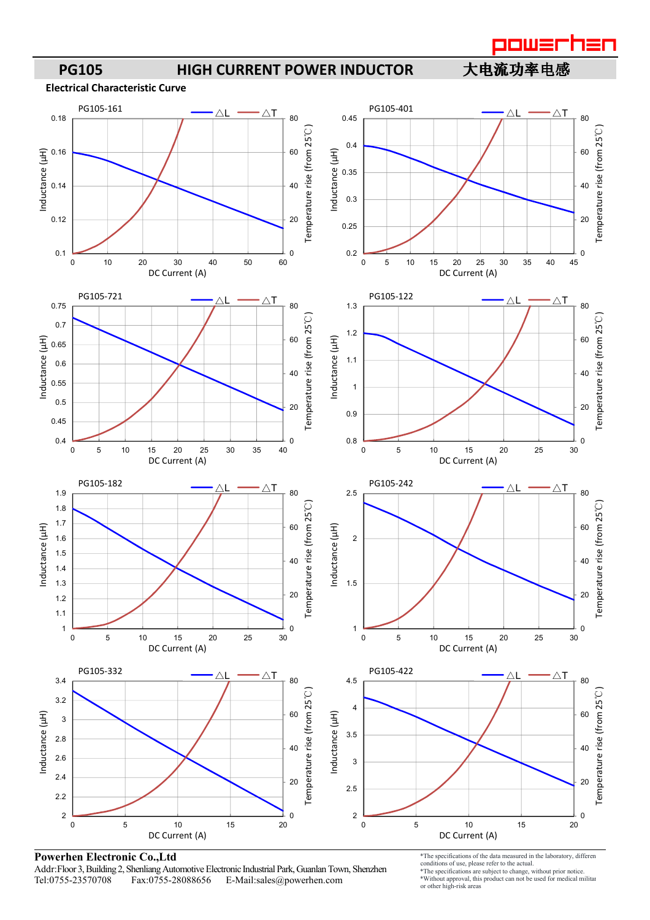



# **Powerhen Electronic Co.,Ltd**

Addr:Floor 3, Building 2, Shenliang Automotive Electronic Industrial Park, Guanlan Town, Shenzhen E-Mail:sales@powerhen.com

\*The specifications of the data measured in the laboratory, different conditions of use, please refer to the actual. \*The specifications are subject to change, without prior notice. \*Without approval, this product can not be used for medical military or other high-risk areas